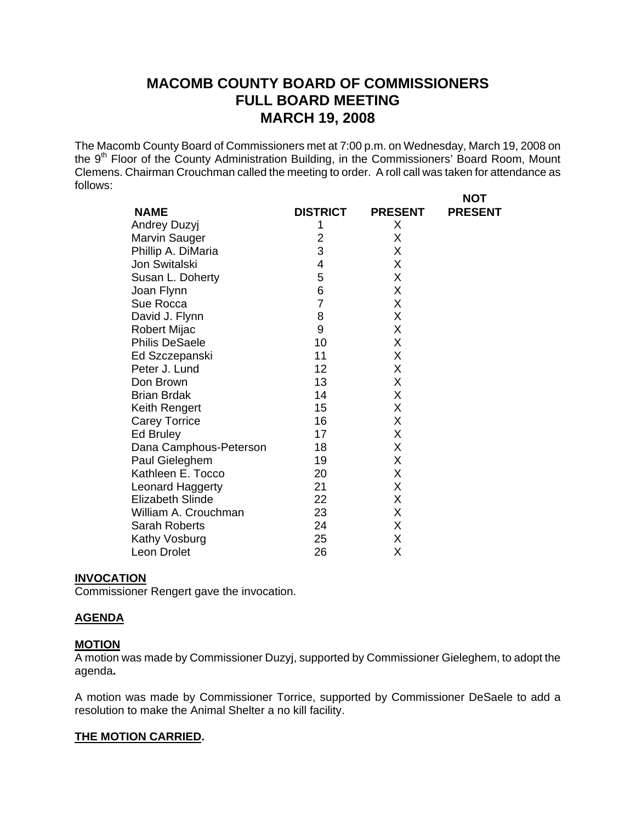The Macomb County Board of Commissioners met at 7:00 p.m. on Wednesday, March 19, 2008 on the 9<sup>th</sup> Floor of the County Administration Building, in the Commissioners' Board Room, Mount Clemens. Chairman Crouchman called the meeting to order. A roll call was taken for attendance as follows: **NOT** 

|                         |                 |                | ''''           |
|-------------------------|-----------------|----------------|----------------|
| <b>NAME</b>             | <b>DISTRICT</b> | <b>PRESENT</b> | <b>PRESENT</b> |
| Andrey Duzyj            | 1               | X.             |                |
| Marvin Sauger           | $\overline{2}$  | X              |                |
| Phillip A. DiMaria      | 3               | X              |                |
| Jon Switalski           | 4               | X              |                |
| Susan L. Doherty        | 5               | Χ              |                |
| Joan Flynn              | 6               | Χ              |                |
| Sue Rocca               | 7               | X              |                |
| David J. Flynn          | 8               | Χ              |                |
| <b>Robert Mijac</b>     | 9               | Χ              |                |
| <b>Philis DeSaele</b>   | 10              | X              |                |
| Ed Szczepanski          | 11              | X              |                |
| Peter J. Lund           | 12              | X              |                |
| Don Brown               | 13              | Χ              |                |
| <b>Brian Brdak</b>      | 14              | Χ              |                |
| Keith Rengert           | 15              | X              |                |
| <b>Carey Torrice</b>    | 16              | X              |                |
| Ed Bruley               | 17              | X              |                |
| Dana Camphous-Peterson  | 18              | Χ              |                |
| Paul Gieleghem          | 19              | Χ              |                |
| Kathleen E. Tocco       | 20              | X              |                |
| Leonard Haggerty        | 21              | X              |                |
| <b>Elizabeth Slinde</b> | 22              | Χ              |                |
| William A. Crouchman    | 23              | X              |                |
| <b>Sarah Roberts</b>    | 24              | X              |                |
| Kathy Vosburg           | 25              | Χ              |                |
| Leon Drolet             | 26              | Χ              |                |

#### **INVOCATION**

Commissioner Rengert gave the invocation.

## **AGENDA**

## **MOTION**

A motion was made by Commissioner Duzyj, supported by Commissioner Gieleghem, to adopt the agenda**.** 

A motion was made by Commissioner Torrice, supported by Commissioner DeSaele to add a resolution to make the Animal Shelter a no kill facility.

#### **THE MOTION CARRIED.**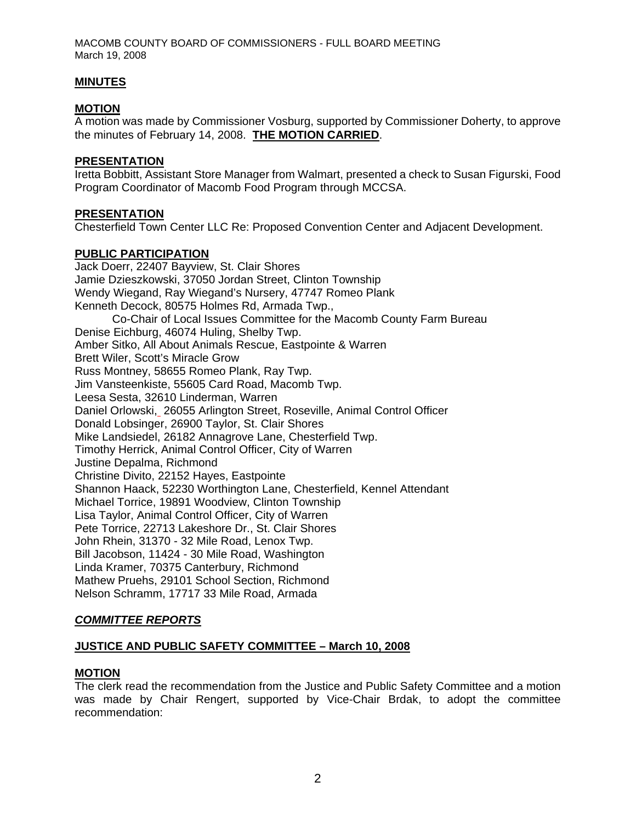## **MINUTES**

## **MOTION**

A motion was made by Commissioner Vosburg, supported by Commissioner Doherty, to approve the minutes of February 14, 2008. **THE MOTION CARRIED**.

#### **PRESENTATION**

Iretta Bobbitt, Assistant Store Manager from Walmart, presented a check to Susan Figurski, Food Program Coordinator of Macomb Food Program through MCCSA.

#### **PRESENTATION**

Chesterfield Town Center LLC Re: Proposed Convention Center and Adjacent Development.

## **PUBLIC PARTICIPATION**

Jack Doerr, 22407 Bayview, St. Clair Shores Jamie Dzieszkowski, 37050 Jordan Street, Clinton Township Wendy Wiegand, Ray Wiegand's Nursery, 47747 Romeo Plank Kenneth Decock, 80575 Holmes Rd, Armada Twp., Co-Chair of Local Issues Committee for the Macomb County Farm Bureau Denise Eichburg, 46074 Huling, Shelby Twp. Amber Sitko, All About Animals Rescue, Eastpointe & Warren Brett Wiler, Scott's Miracle Grow Russ Montney, 58655 Romeo Plank, Ray Twp. Jim Vansteenkiste, 55605 Card Road, Macomb Twp. Leesa Sesta, 32610 Linderman, Warren Daniel Orlowski, 26055 Arlington Street, Roseville, Animal Control Officer Donald Lobsinger, 26900 Taylor, St. Clair Shores Mike Landsiedel, 26182 Annagrove Lane, Chesterfield Twp. Timothy Herrick, Animal Control Officer, City of Warren Justine Depalma, Richmond Christine Divito, 22152 Hayes, Eastpointe Shannon Haack, 52230 Worthington Lane, Chesterfield, Kennel Attendant Michael Torrice, 19891 Woodview, Clinton Township Lisa Taylor, Animal Control Officer, City of Warren Pete Torrice, 22713 Lakeshore Dr., St. Clair Shores John Rhein, 31370 - 32 Mile Road, Lenox Twp. Bill Jacobson, 11424 - 30 Mile Road, Washington Linda Kramer, 70375 Canterbury, Richmond Mathew Pruehs, 29101 School Section, Richmond Nelson Schramm, 17717 33 Mile Road, Armada

## *COMMITTEE REPORTS*

#### **JUSTICE AND PUBLIC SAFETY COMMITTEE – March 10, 2008**

#### **MOTION**

The clerk read the recommendation from the Justice and Public Safety Committee and a motion was made by Chair Rengert, supported by Vice-Chair Brdak, to adopt the committee recommendation: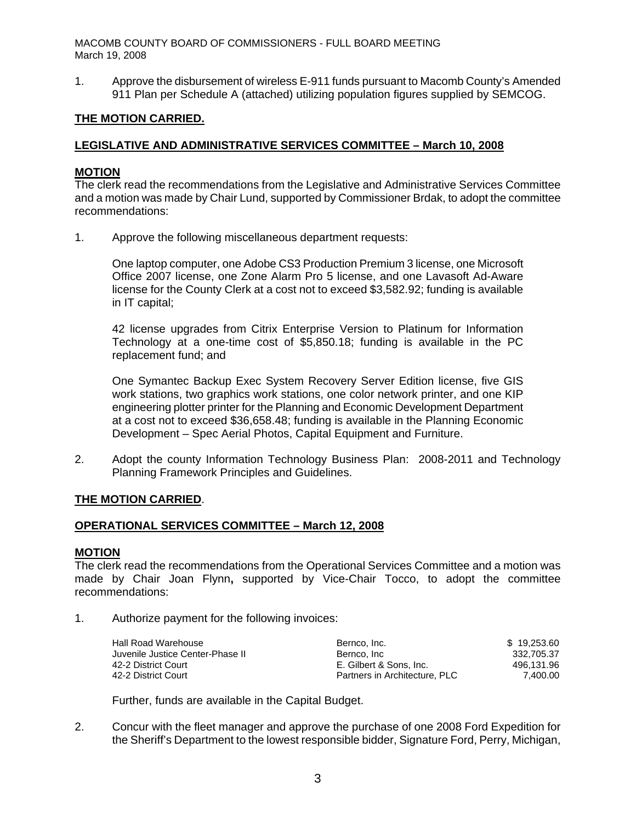1. Approve the disbursement of wireless E-911 funds pursuant to Macomb County's Amended 911 Plan per Schedule A (attached) utilizing population figures supplied by SEMCOG.

## **THE MOTION CARRIED.**

## **LEGISLATIVE AND ADMINISTRATIVE SERVICES COMMITTEE – March 10, 2008**

### **MOTION**

The clerk read the recommendations from the Legislative and Administrative Services Committee and a motion was made by Chair Lund, supported by Commissioner Brdak, to adopt the committee recommendations:

1. Approve the following miscellaneous department requests:

One laptop computer, one Adobe CS3 Production Premium 3 license, one Microsoft Office 2007 license, one Zone Alarm Pro 5 license, and one Lavasoft Ad-Aware license for the County Clerk at a cost not to exceed \$3,582.92; funding is available in IT capital;

42 license upgrades from Citrix Enterprise Version to Platinum for Information Technology at a one-time cost of \$5,850.18; funding is available in the PC replacement fund; and

One Symantec Backup Exec System Recovery Server Edition license, five GIS work stations, two graphics work stations, one color network printer, and one KIP engineering plotter printer for the Planning and Economic Development Department at a cost not to exceed \$36,658.48; funding is available in the Planning Economic Development – Spec Aerial Photos, Capital Equipment and Furniture.

2. Adopt the county Information Technology Business Plan: 2008-2011 and Technology Planning Framework Principles and Guidelines.

#### **THE MOTION CARRIED**.

#### **OPERATIONAL SERVICES COMMITTEE – March 12, 2008**

#### **MOTION**

The clerk read the recommendations from the Operational Services Committee and a motion was made by Chair Joan Flynn**,** supported by Vice-Chair Tocco, to adopt the committee recommendations:

1. Authorize payment for the following invoices:

| Hall Road Warehouse              | Bernco, Inc.                  | \$19,253.60 |
|----------------------------------|-------------------------------|-------------|
| Juvenile Justice Center-Phase II | Bernco, Inc.                  | 332.705.37  |
| 42-2 District Court              | E. Gilbert & Sons. Inc.       | 496.131.96  |
| 42-2 District Court              | Partners in Architecture, PLC | 7.400.00    |

Further, funds are available in the Capital Budget.

2. Concur with the fleet manager and approve the purchase of one 2008 Ford Expedition for the Sheriff's Department to the lowest responsible bidder, Signature Ford, Perry, Michigan,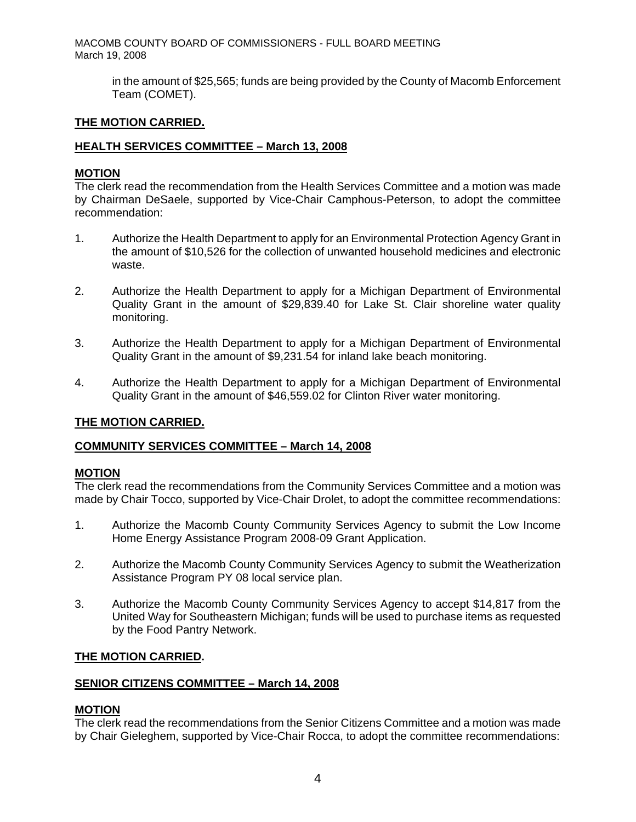> in the amount of \$25,565; funds are being provided by the County of Macomb Enforcement Team (COMET).

## **THE MOTION CARRIED.**

## **HEALTH SERVICES COMMITTEE – March 13, 2008**

## **MOTION**

The clerk read the recommendation from the Health Services Committee and a motion was made by Chairman DeSaele, supported by Vice-Chair Camphous-Peterson, to adopt the committee recommendation:

- 1. Authorize the Health Department to apply for an Environmental Protection Agency Grant in the amount of \$10,526 for the collection of unwanted household medicines and electronic waste.
- 2. Authorize the Health Department to apply for a Michigan Department of Environmental Quality Grant in the amount of \$29,839.40 for Lake St. Clair shoreline water quality monitoring.
- 3. Authorize the Health Department to apply for a Michigan Department of Environmental Quality Grant in the amount of \$9,231.54 for inland lake beach monitoring.
- 4. Authorize the Health Department to apply for a Michigan Department of Environmental Quality Grant in the amount of \$46,559.02 for Clinton River water monitoring.

#### **THE MOTION CARRIED.**

#### **COMMUNITY SERVICES COMMITTEE – March 14, 2008**

#### **MOTION**

The clerk read the recommendations from the Community Services Committee and a motion was made by Chair Tocco, supported by Vice-Chair Drolet, to adopt the committee recommendations:

- 1. Authorize the Macomb County Community Services Agency to submit the Low Income Home Energy Assistance Program 2008-09 Grant Application.
- 2. Authorize the Macomb County Community Services Agency to submit the Weatherization Assistance Program PY 08 local service plan.
- 3. Authorize the Macomb County Community Services Agency to accept \$14,817 from the United Way for Southeastern Michigan; funds will be used to purchase items as requested by the Food Pantry Network.

#### **THE MOTION CARRIED.**

#### **SENIOR CITIZENS COMMITTEE – March 14, 2008**

#### **MOTION**

The clerk read the recommendations from the Senior Citizens Committee and a motion was made by Chair Gieleghem, supported by Vice-Chair Rocca, to adopt the committee recommendations: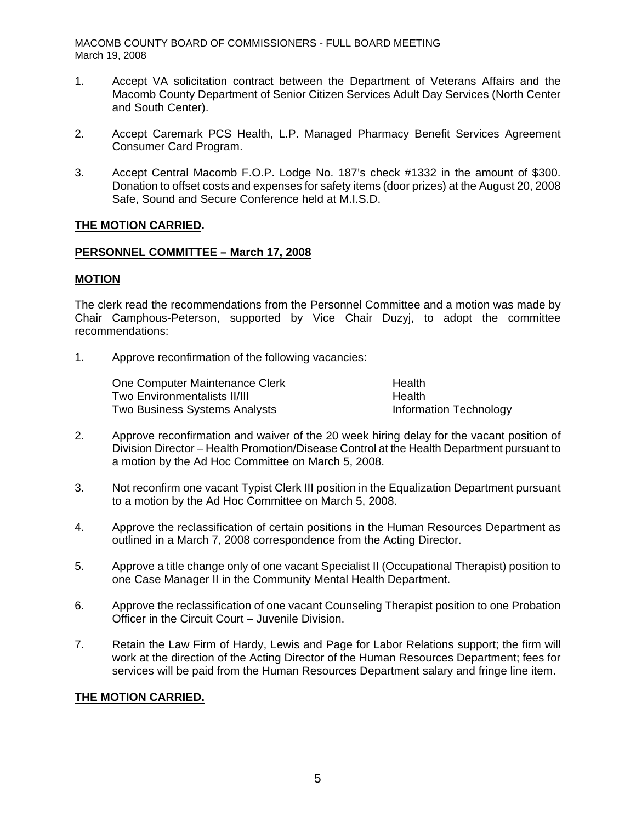- 1. Accept VA solicitation contract between the Department of Veterans Affairs and the Macomb County Department of Senior Citizen Services Adult Day Services (North Center and South Center).
- 2. Accept Caremark PCS Health, L.P. Managed Pharmacy Benefit Services Agreement Consumer Card Program.
- 3. Accept Central Macomb F.O.P. Lodge No. 187's check #1332 in the amount of \$300. Donation to offset costs and expenses for safety items (door prizes) at the August 20, 2008 Safe, Sound and Secure Conference held at M.I.S.D.

## **THE MOTION CARRIED.**

## **PERSONNEL COMMITTEE – March 17, 2008**

## **MOTION**

The clerk read the recommendations from the Personnel Committee and a motion was made by Chair Camphous-Peterson, supported by Vice Chair Duzyj, to adopt the committee recommendations:

1. Approve reconfirmation of the following vacancies:

One Computer Maintenance Clerk Health Two Environmentalists II/III **Health** Two Business Systems Analysts Information Technology

- 2. Approve reconfirmation and waiver of the 20 week hiring delay for the vacant position of Division Director – Health Promotion/Disease Control at the Health Department pursuant to a motion by the Ad Hoc Committee on March 5, 2008.
- 3. Not reconfirm one vacant Typist Clerk III position in the Equalization Department pursuant to a motion by the Ad Hoc Committee on March 5, 2008.
- 4. Approve the reclassification of certain positions in the Human Resources Department as outlined in a March 7, 2008 correspondence from the Acting Director.
- 5. Approve a title change only of one vacant Specialist II (Occupational Therapist) position to one Case Manager II in the Community Mental Health Department.
- 6. Approve the reclassification of one vacant Counseling Therapist position to one Probation Officer in the Circuit Court – Juvenile Division.
- 7. Retain the Law Firm of Hardy, Lewis and Page for Labor Relations support; the firm will work at the direction of the Acting Director of the Human Resources Department; fees for services will be paid from the Human Resources Department salary and fringe line item.

## **THE MOTION CARRIED.**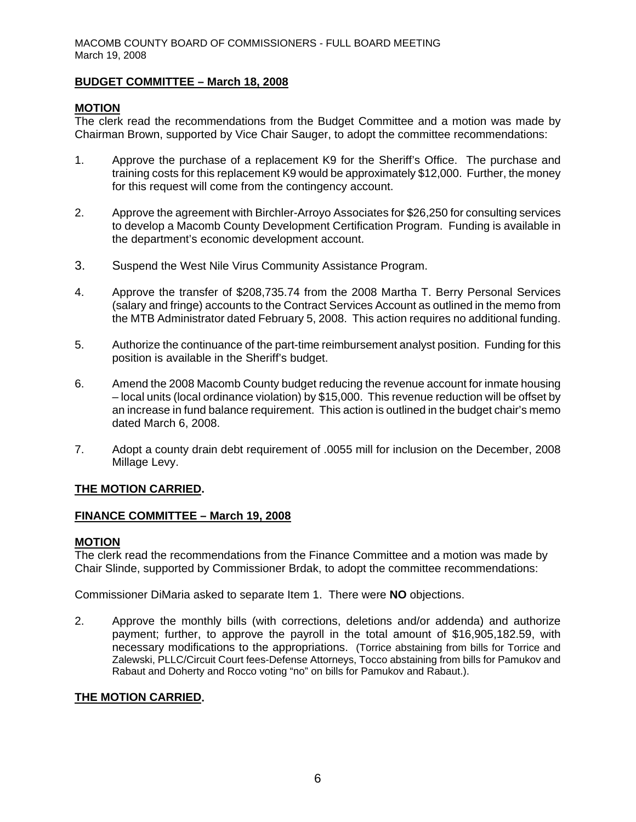## **BUDGET COMMITTEE – March 18, 2008**

## **MOTION**

The clerk read the recommendations from the Budget Committee and a motion was made by Chairman Brown, supported by Vice Chair Sauger, to adopt the committee recommendations:

- 1. Approve the purchase of a replacement K9 for the Sheriff's Office. The purchase and training costs for this replacement K9 would be approximately \$12,000. Further, the money for this request will come from the contingency account.
- 2. Approve the agreement with Birchler-Arroyo Associates for \$26,250 for consulting services to develop a Macomb County Development Certification Program. Funding is available in the department's economic development account.
- 3. Suspend the West Nile Virus Community Assistance Program.
- 4. Approve the transfer of \$208,735.74 from the 2008 Martha T. Berry Personal Services (salary and fringe) accounts to the Contract Services Account as outlined in the memo from the MTB Administrator dated February 5, 2008. This action requires no additional funding.
- 5. Authorize the continuance of the part-time reimbursement analyst position. Funding for this position is available in the Sheriff's budget.
- 6. Amend the 2008 Macomb County budget reducing the revenue account for inmate housing – local units (local ordinance violation) by \$15,000. This revenue reduction will be offset by an increase in fund balance requirement. This action is outlined in the budget chair's memo dated March 6, 2008.
- 7. Adopt a county drain debt requirement of .0055 mill for inclusion on the December, 2008 Millage Levy.

## **THE MOTION CARRIED.**

## **FINANCE COMMITTEE – March 19, 2008**

## **MOTION**

The clerk read the recommendations from the Finance Committee and a motion was made by Chair Slinde, supported by Commissioner Brdak, to adopt the committee recommendations:

Commissioner DiMaria asked to separate Item 1. There were **NO** objections.

2. Approve the monthly bills (with corrections, deletions and/or addenda) and authorize payment; further, to approve the payroll in the total amount of \$16,905,182.59, with necessary modifications to the appropriations. (Torrice abstaining from bills for Torrice and Zalewski, PLLC/Circuit Court fees-Defense Attorneys, Tocco abstaining from bills for Pamukov and Rabaut and Doherty and Rocco voting "no" on bills for Pamukov and Rabaut.).

## **THE MOTION CARRIED.**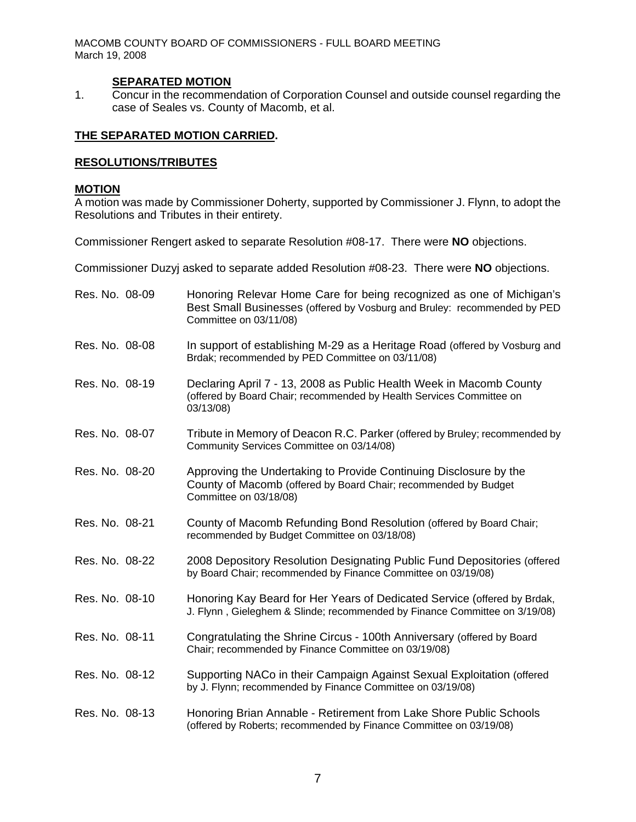## **SEPARATED MOTION**

1. Concur in the recommendation of Corporation Counsel and outside counsel regarding the case of Seales vs. County of Macomb, et al.

## **THE SEPARATED MOTION CARRIED.**

## **RESOLUTIONS/TRIBUTES**

### **MOTION**

A motion was made by Commissioner Doherty, supported by Commissioner J. Flynn, to adopt the Resolutions and Tributes in their entirety.

Commissioner Rengert asked to separate Resolution #08-17. There were **NO** objections.

Commissioner Duzyj asked to separate added Resolution #08-23. There were **NO** objections.

| Res. No. 08-09 | Honoring Relevar Home Care for being recognized as one of Michigan's<br>Best Small Businesses (offered by Vosburg and Bruley: recommended by PED<br>Committee on 03/11/08) |
|----------------|----------------------------------------------------------------------------------------------------------------------------------------------------------------------------|
| Res. No. 08-08 | In support of establishing M-29 as a Heritage Road (offered by Vosburg and<br>Brdak; recommended by PED Committee on 03/11/08)                                             |
| Res. No. 08-19 | Declaring April 7 - 13, 2008 as Public Health Week in Macomb County<br>(offered by Board Chair; recommended by Health Services Committee on<br>03/13/08)                   |
| Res. No. 08-07 | Tribute in Memory of Deacon R.C. Parker (offered by Bruley; recommended by<br>Community Services Committee on 03/14/08)                                                    |
| Res. No. 08-20 | Approving the Undertaking to Provide Continuing Disclosure by the<br>County of Macomb (offered by Board Chair; recommended by Budget<br>Committee on 03/18/08)             |
| Res. No. 08-21 | County of Macomb Refunding Bond Resolution (offered by Board Chair;<br>recommended by Budget Committee on 03/18/08)                                                        |
| Res. No. 08-22 | 2008 Depository Resolution Designating Public Fund Depositories (offered<br>by Board Chair; recommended by Finance Committee on 03/19/08)                                  |
| Res. No. 08-10 | Honoring Kay Beard for Her Years of Dedicated Service (offered by Brdak,<br>J. Flynn, Gieleghem & Slinde; recommended by Finance Committee on 3/19/08)                     |
| Res. No. 08-11 | Congratulating the Shrine Circus - 100th Anniversary (offered by Board<br>Chair; recommended by Finance Committee on 03/19/08)                                             |
| Res. No. 08-12 | Supporting NACo in their Campaign Against Sexual Exploitation (offered<br>by J. Flynn; recommended by Finance Committee on 03/19/08)                                       |
| Res. No. 08-13 | Honoring Brian Annable - Retirement from Lake Shore Public Schools<br>(offered by Roberts; recommended by Finance Committee on 03/19/08)                                   |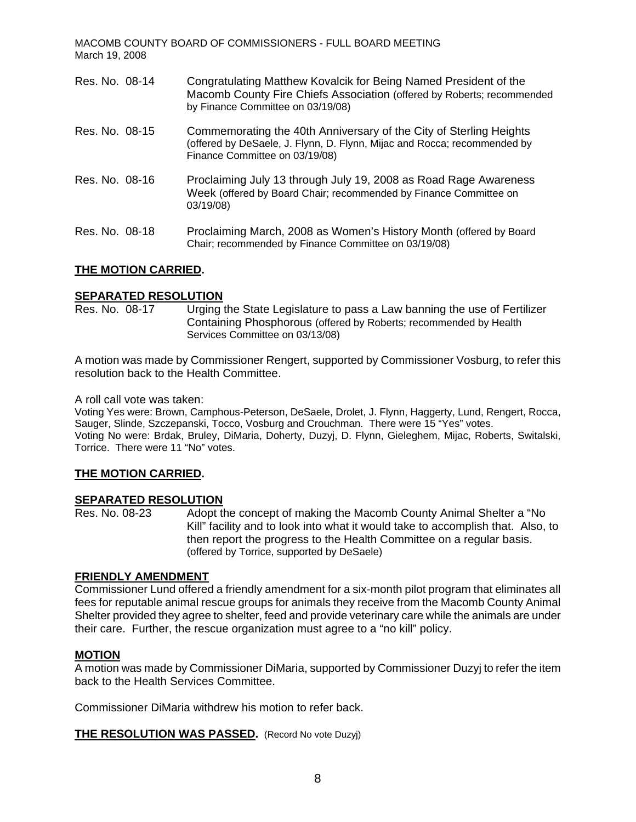| Res. No. 08-14 | Congratulating Matthew Kovalcik for Being Named President of the<br>Macomb County Fire Chiefs Association (offered by Roberts; recommended<br>by Finance Committee on 03/19/08)  |
|----------------|----------------------------------------------------------------------------------------------------------------------------------------------------------------------------------|
| Res. No. 08-15 | Commemorating the 40th Anniversary of the City of Sterling Heights<br>(offered by DeSaele, J. Flynn, D. Flynn, Mijac and Rocca; recommended by<br>Finance Committee on 03/19/08) |
| Res. No. 08-16 | Proclaiming July 13 through July 19, 2008 as Road Rage Awareness<br>Week (offered by Board Chair; recommended by Finance Committee on<br>03/19/08)                               |
| Res. No. 08-18 | Proclaiming March, 2008 as Women's History Month (offered by Board<br>Chair; recommended by Finance Committee on 03/19/08)                                                       |

## **THE MOTION CARRIED.**

# **SEPARATED RESOLUTION**<br>Res. No. 08-17 Urging

Urging the State Legislature to pass a Law banning the use of Fertilizer Containing Phosphorous (offered by Roberts; recommended by Health Services Committee on 03/13/08)

A motion was made by Commissioner Rengert, supported by Commissioner Vosburg, to refer this resolution back to the Health Committee.

#### A roll call vote was taken:

Voting Yes were: Brown, Camphous-Peterson, DeSaele, Drolet, J. Flynn, Haggerty, Lund, Rengert, Rocca, Sauger, Slinde, Szczepanski, Tocco, Vosburg and Crouchman. There were 15 "Yes" votes. Voting No were: Brdak, Bruley, DiMaria, Doherty, Duzyj, D. Flynn, Gieleghem, Mijac, Roberts, Switalski, Torrice. There were 11 "No" votes.

#### **THE MOTION CARRIED.**

#### **SEPARATED RESOLUTION**

Res. No. 08-23 Adopt the concept of making the Macomb County Animal Shelter a "No Kill" facility and to look into what it would take to accomplish that. Also, to then report the progress to the Health Committee on a regular basis. (offered by Torrice, supported by DeSaele)

#### **FRIENDLY AMENDMENT**

Commissioner Lund offered a friendly amendment for a six-month pilot program that eliminates all fees for reputable animal rescue groups for animals they receive from the Macomb County Animal Shelter provided they agree to shelter, feed and provide veterinary care while the animals are under their care. Further, the rescue organization must agree to a "no kill" policy.

#### **MOTION**

A motion was made by Commissioner DiMaria, supported by Commissioner Duzyj to refer the item back to the Health Services Committee.

Commissioner DiMaria withdrew his motion to refer back.

**THE RESOLUTION WAS PASSED.** (Record No vote Duzyj)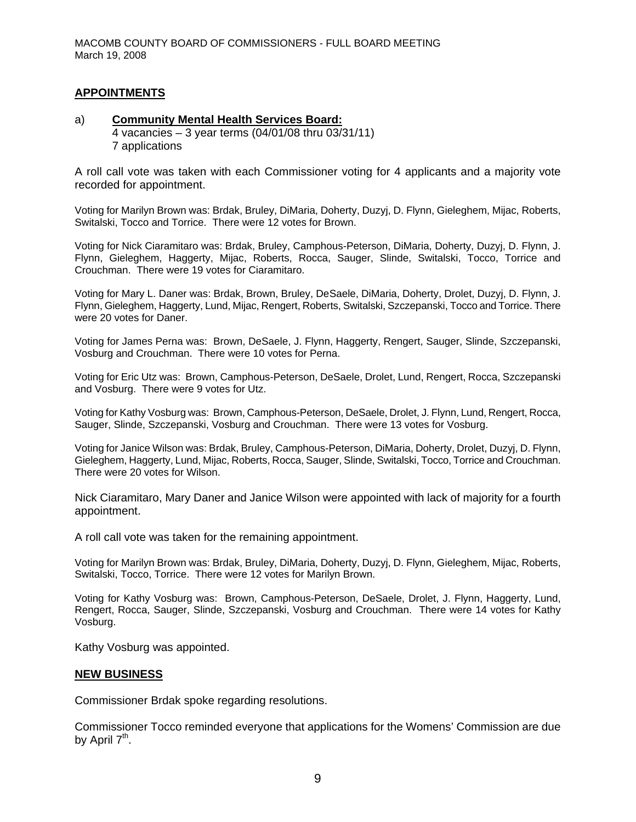## **APPOINTMENTS**

#### a) **Community Mental Health Services Board:** 4 vacancies – 3 year terms (04/01/08 thru 03/31/11) 7 applications

A roll call vote was taken with each Commissioner voting for 4 applicants and a majority vote recorded for appointment.

Voting for Marilyn Brown was: Brdak, Bruley, DiMaria, Doherty, Duzyj, D. Flynn, Gieleghem, Mijac, Roberts, Switalski, Tocco and Torrice. There were 12 votes for Brown.

Voting for Nick Ciaramitaro was: Brdak, Bruley, Camphous-Peterson, DiMaria, Doherty, Duzyj, D. Flynn, J. Flynn, Gieleghem, Haggerty, Mijac, Roberts, Rocca, Sauger, Slinde, Switalski, Tocco, Torrice and Crouchman. There were 19 votes for Ciaramitaro.

Voting for Mary L. Daner was: Brdak, Brown, Bruley, DeSaele, DiMaria, Doherty, Drolet, Duzyj, D. Flynn, J. Flynn, Gieleghem, Haggerty, Lund, Mijac, Rengert, Roberts, Switalski, Szczepanski, Tocco and Torrice. There were 20 votes for Daner.

Voting for James Perna was: Brown, DeSaele, J. Flynn, Haggerty, Rengert, Sauger, Slinde, Szczepanski, Vosburg and Crouchman. There were 10 votes for Perna.

Voting for Eric Utz was: Brown, Camphous-Peterson, DeSaele, Drolet, Lund, Rengert, Rocca, Szczepanski and Vosburg. There were 9 votes for Utz.

Voting for Kathy Vosburg was: Brown, Camphous-Peterson, DeSaele, Drolet, J. Flynn, Lund, Rengert, Rocca, Sauger, Slinde, Szczepanski, Vosburg and Crouchman. There were 13 votes for Vosburg.

Voting for Janice Wilson was: Brdak, Bruley, Camphous-Peterson, DiMaria, Doherty, Drolet, Duzyj, D. Flynn, Gieleghem, Haggerty, Lund, Mijac, Roberts, Rocca, Sauger, Slinde, Switalski, Tocco, Torrice and Crouchman. There were 20 votes for Wilson.

Nick Ciaramitaro, Mary Daner and Janice Wilson were appointed with lack of majority for a fourth appointment.

A roll call vote was taken for the remaining appointment.

Voting for Marilyn Brown was: Brdak, Bruley, DiMaria, Doherty, Duzyj, D. Flynn, Gieleghem, Mijac, Roberts, Switalski, Tocco, Torrice. There were 12 votes for Marilyn Brown.

Voting for Kathy Vosburg was: Brown, Camphous-Peterson, DeSaele, Drolet, J. Flynn, Haggerty, Lund, Rengert, Rocca, Sauger, Slinde, Szczepanski, Vosburg and Crouchman. There were 14 votes for Kathy Vosburg.

Kathy Vosburg was appointed.

#### **NEW BUSINESS**

Commissioner Brdak spoke regarding resolutions.

Commissioner Tocco reminded everyone that applications for the Womens' Commission are due by April  $7<sup>th</sup>$ .